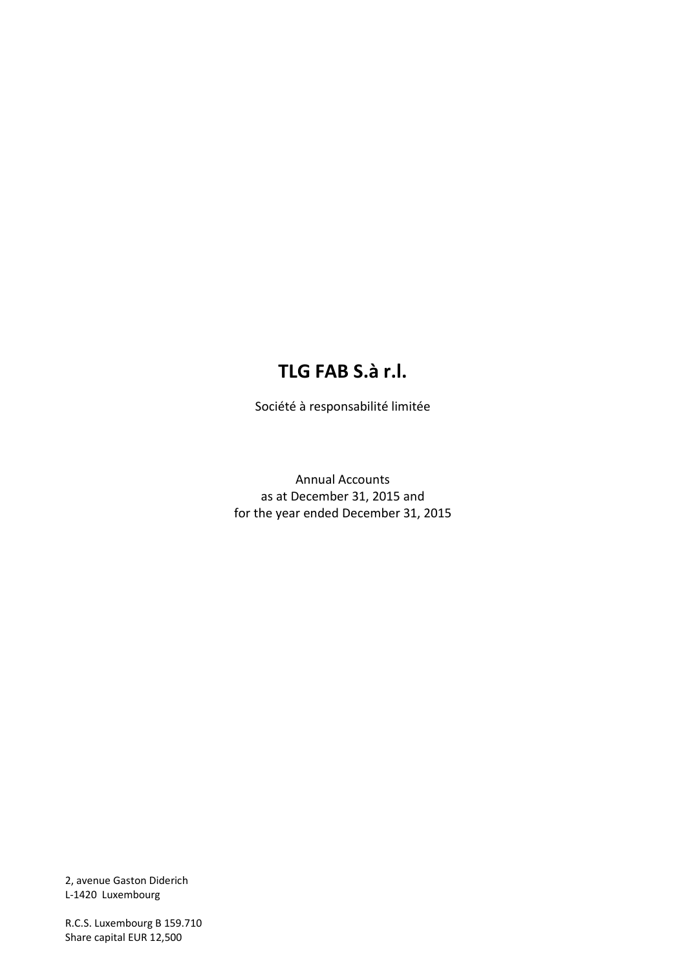# **TLG FAB S.à r.l.**

Société à responsabilité limitée

Annual Accounts as at December 31, 2015 and for the year ended December 31, 2015

2, avenue Gaston Diderich L-1420 Luxembourg

R.C.S. Luxembourg B 159.710 Share capital EUR 12,500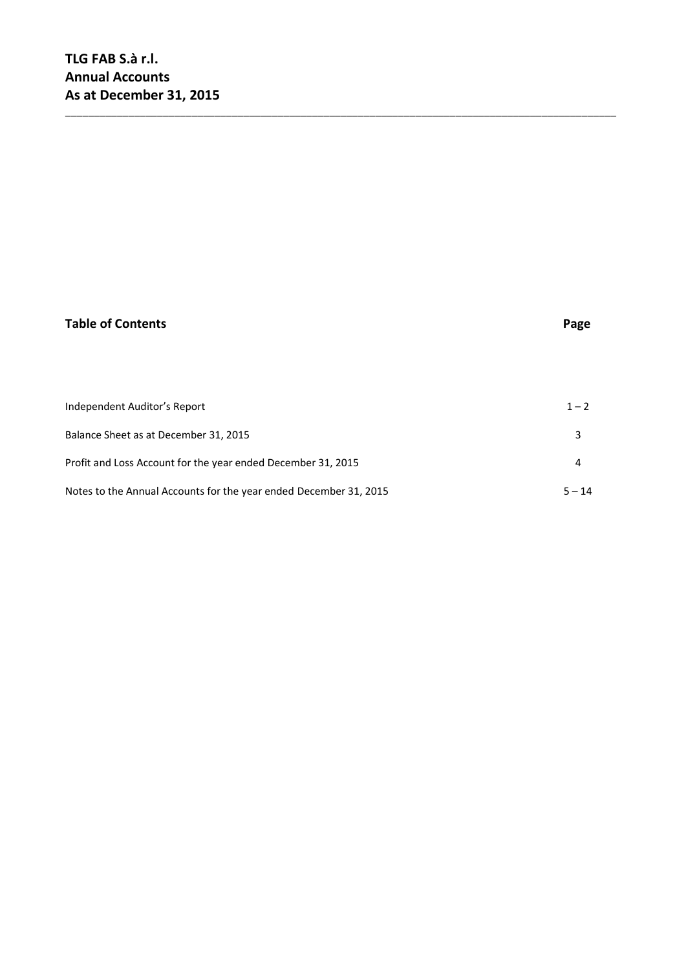### **Table of Contents Page**

| Independent Auditor's Report                                      | $1 - 2$  |
|-------------------------------------------------------------------|----------|
| Balance Sheet as at December 31, 2015                             |          |
| Profit and Loss Account for the year ended December 31, 2015      |          |
| Notes to the Annual Accounts for the year ended December 31, 2015 | $5 - 14$ |

\_\_\_\_\_\_\_\_\_\_\_\_\_\_\_\_\_\_\_\_\_\_\_\_\_\_\_\_\_\_\_\_\_\_\_\_\_\_\_\_\_\_\_\_\_\_\_\_\_\_\_\_\_\_\_\_\_\_\_\_\_\_\_\_\_\_\_\_\_\_\_\_\_\_\_\_\_\_\_\_\_\_\_\_\_\_\_\_\_\_\_\_\_\_\_\_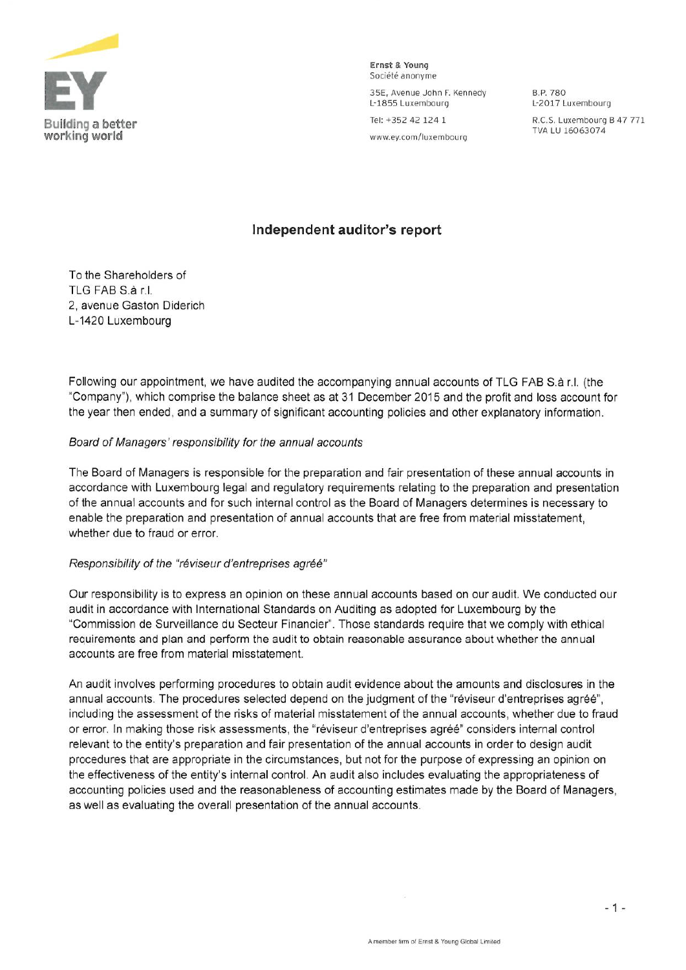

Ernst Bi Young Société anonyme

35E, Avenue John F. Kennedy B.P. 780<br>L-1855 Luxembourg L-2017 L

L-2017 Luxembourg

Building a better Tel: +352 42 124 1 R.C.S. Luxembourg B 47 771

### Independent auditor's report

To the Shareholders of TLG FAB S à r.I. 2, ayenue Gaston Diderich L-1420 Luxembourg

Following our appointment, we have audited the accompanying annual accounts of TLG FAB S.à r.l. (the "Company"), which comprise the balance sheet as at 31 December 2015 and the profit and loss account for the year then ended, and <sup>a</sup> summary of significant accounting policies and other explanatory information.

#### Board of Managers' responsibility for the annuai accounts

The Board of Managers is responsible for the preparation and fair presentation of these annual accounts in accordance with Luxembourg legal and regulatory requirements relating to the preparation and presentation of the annual accounts and for such internal control as the Board of Managers determines is necessary to enable the preparation and presentation of annual accounts that are free from material misstatement, whether due to fraud or error.

#### Responsibility of the "réviseur d'entreprises agréé"

Our responsibility is to express an opinion on these annual accounts based on our audit. We conducted our audit in accordance with international Standards on Auditing as adopted for Luxembourg by the "Commission de Suryeillance du Secteur Financier". Those standards require that we comply with ethical requirements and plan and perform the audit to obtain reasonable assurance about whether the annual accounts are free from material misstatement.

An audit inyolyes performing procedures to obtain audit eyidence about the amounts and disclosures in the annual accounts. The procedures selected depend on the judgment of the "réviseur d'entreprises agréé", including the assessment of the risks of material misstatement of the annual accounts, whether due to fraud or error. In making those risk assessments, the "réviseur d'entreprises agréé" considers internal control releyant to the entity's preparation and fair presentation of the annual accounts in order to design audit procedures that are appropriate in the circumstances, but not for the purpose of expressing an opinion on the effectiveness of the entity's internal control. An audit also includes evaluating the appropriateness of accounting policies used and the reasonableness of accounting estimates made by the Board of Managers, as well as eyaluating the oyerall presentation of the annual accounts.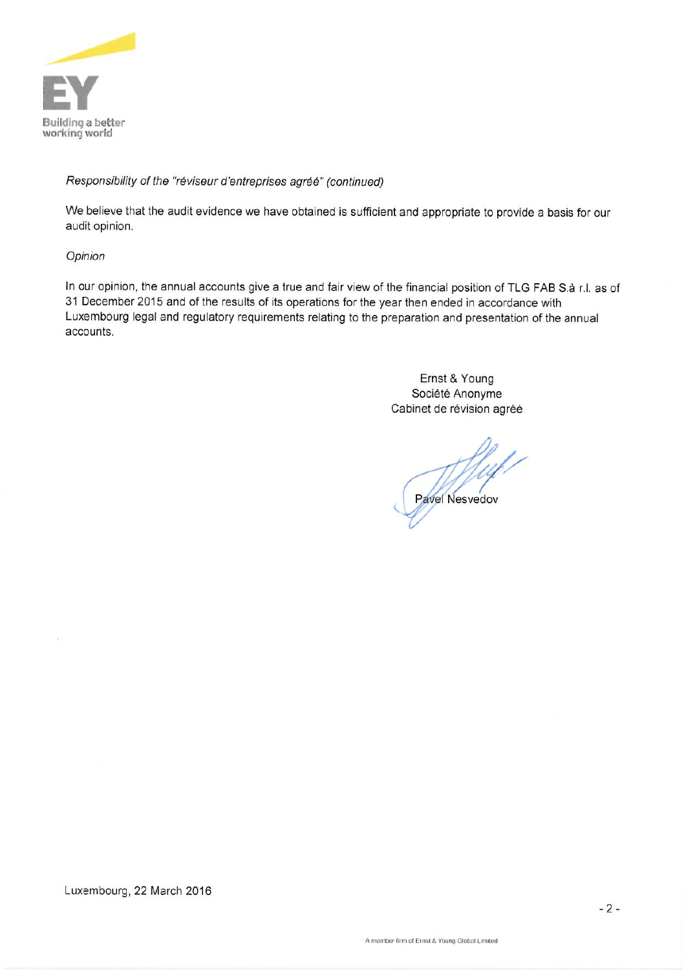

### Responsibility of the "réviseur d'entreprises agréé" (continued)

We believe that the audit evidence we have obtained is sufficient and appropriate to provide a basis for our audit opinion.

#### Opinion

In our opinion, the annual accounts give a true and fair view of the financial position of TLG FAB S.à r.l. as of 31 December 2015 and of the results of its operations for the year then ended in accordance with Luxembourg legal and regulatory requirements relating to the preparation and presentation of the annual accounts.

> Ernst & Young Société Anonyme Cabinet de révision agréé

Pavel Nesvedov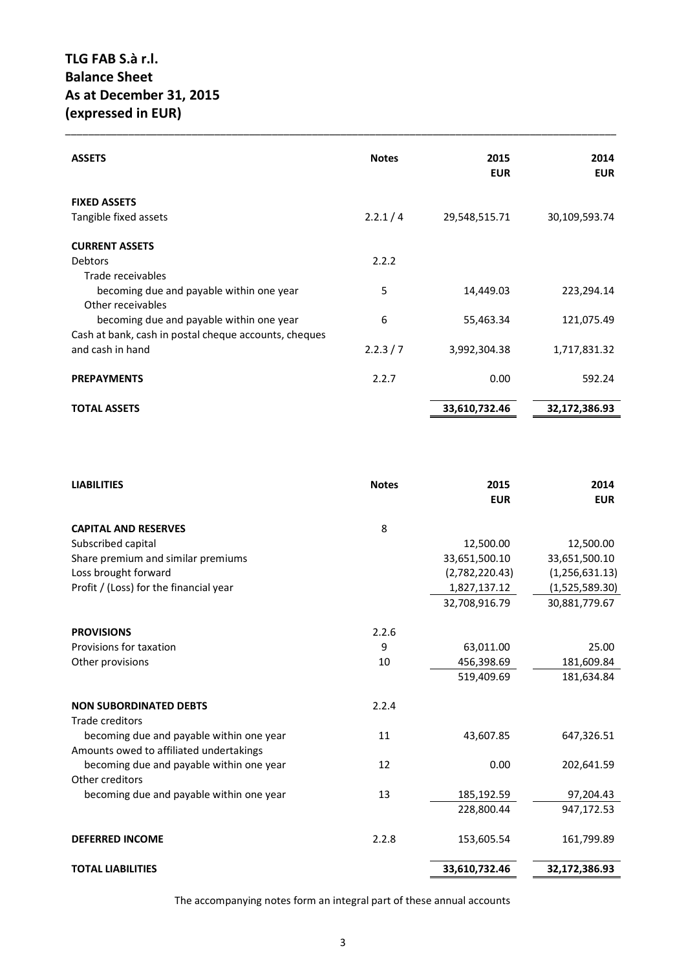| <b>ASSETS</b>                                         | <b>Notes</b> | 2015<br><b>EUR</b> | 2014<br><b>EUR</b> |
|-------------------------------------------------------|--------------|--------------------|--------------------|
| <b>FIXED ASSETS</b>                                   |              |                    |                    |
| Tangible fixed assets                                 | 2.2.1 / 4    | 29,548,515.71      | 30,109,593.74      |
| <b>CURRENT ASSETS</b>                                 |              |                    |                    |
| <b>Debtors</b>                                        | 2.2.2        |                    |                    |
| Trade receivables                                     |              |                    |                    |
| becoming due and payable within one year              | 5            | 14,449.03          | 223,294.14         |
| Other receivables                                     |              |                    |                    |
| becoming due and payable within one year              | 6            | 55,463.34          | 121,075.49         |
| Cash at bank, cash in postal cheque accounts, cheques |              |                    |                    |
| and cash in hand                                      | 2.2.3 / 7    | 3,992,304.38       | 1,717,831.32       |
| <b>PREPAYMENTS</b>                                    | 2.2.7        | 0.00               | 592.24             |
| <b>TOTAL ASSETS</b>                                   |              | 33,610,732.46      | 32,172,386.93      |

\_\_\_\_\_\_\_\_\_\_\_\_\_\_\_\_\_\_\_\_\_\_\_\_\_\_\_\_\_\_\_\_\_\_\_\_\_\_\_\_\_\_\_\_\_\_\_\_\_\_\_\_\_\_\_\_\_\_\_\_\_\_\_\_\_\_\_\_\_\_\_\_\_\_\_\_\_\_\_\_\_\_\_\_\_\_\_\_\_\_\_\_\_\_\_\_

| <b>LIABILITIES</b>                       | <b>Notes</b> | 2015<br><b>EUR</b> | 2014<br><b>EUR</b> |
|------------------------------------------|--------------|--------------------|--------------------|
| <b>CAPITAL AND RESERVES</b>              | 8            |                    |                    |
| Subscribed capital                       |              | 12,500.00          | 12,500.00          |
| Share premium and similar premiums       |              | 33,651,500.10      | 33,651,500.10      |
| Loss brought forward                     |              | (2,782,220.43)     | (1, 256, 631.13)   |
| Profit / (Loss) for the financial year   |              | 1,827,137.12       | (1,525,589.30)     |
|                                          |              | 32,708,916.79      | 30,881,779.67      |
| <b>PROVISIONS</b>                        | 2.2.6        |                    |                    |
| Provisions for taxation                  | 9            | 63,011.00          | 25.00              |
| Other provisions                         | 10           | 456,398.69         | 181,609.84         |
|                                          |              | 519,409.69         | 181,634.84         |
| <b>NON SUBORDINATED DEBTS</b>            | 2.2.4        |                    |                    |
| Trade creditors                          |              |                    |                    |
| becoming due and payable within one year | 11           | 43,607.85          | 647,326.51         |
| Amounts owed to affiliated undertakings  |              |                    |                    |
| becoming due and payable within one year | 12           | 0.00               | 202,641.59         |
| Other creditors                          |              |                    |                    |
| becoming due and payable within one year | 13           | 185,192.59         | 97,204.43          |
|                                          |              | 228,800.44         | 947,172.53         |
| <b>DEFERRED INCOME</b>                   | 2.2.8        | 153,605.54         | 161,799.89         |
| <b>TOTAL LIABILITIES</b>                 |              | 33,610,732.46      | 32,172,386.93      |

The accompanying notes form an integral part of these annual accounts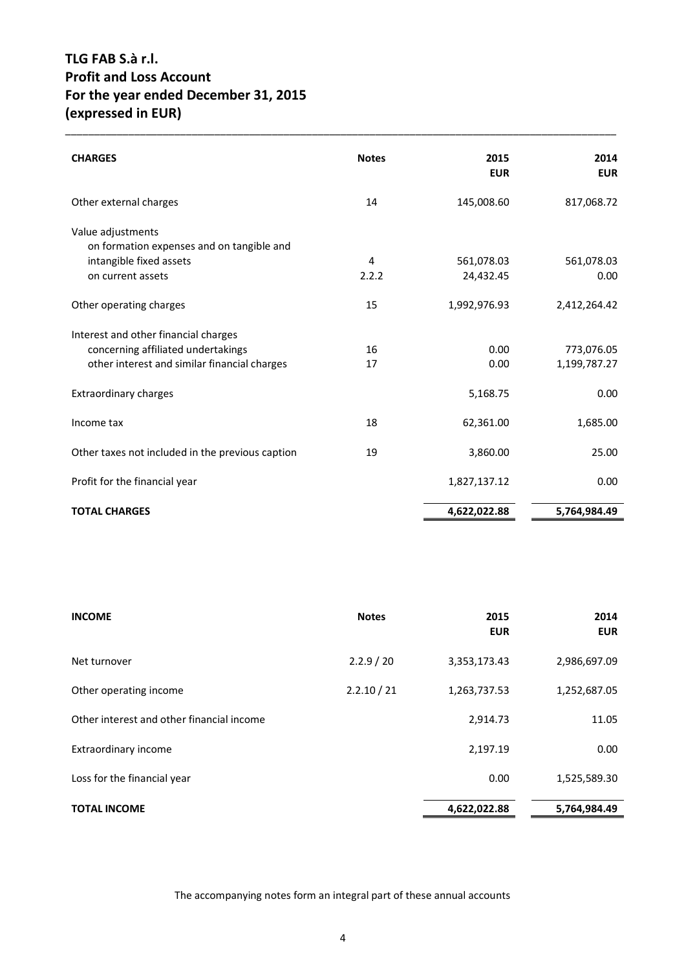## **TLG FAB S.à r.l. Profit and Loss Account For the year ended December 31, 2015 (expressed in EUR)**

| <b>CHARGES</b>                                   | <b>Notes</b> | 2015<br><b>EUR</b> | 2014<br><b>EUR</b> |
|--------------------------------------------------|--------------|--------------------|--------------------|
| Other external charges                           | 14           | 145,008.60         | 817,068.72         |
| Value adjustments                                |              |                    |                    |
| on formation expenses and on tangible and        |              |                    |                    |
| intangible fixed assets                          | 4            | 561,078.03         | 561,078.03         |
| on current assets                                | 2.2.2        | 24,432.45          | 0.00               |
| Other operating charges                          | 15           | 1,992,976.93       | 2,412,264.42       |
| Interest and other financial charges             |              |                    |                    |
| concerning affiliated undertakings               | 16           | 0.00               | 773,076.05         |
| other interest and similar financial charges     | 17           | 0.00               | 1,199,787.27       |
| <b>Extraordinary charges</b>                     |              | 5,168.75           | 0.00               |
| Income tax                                       | 18           | 62,361.00          | 1,685.00           |
| Other taxes not included in the previous caption | 19           | 3,860.00           | 25.00              |
| Profit for the financial year                    |              | 1,827,137.12       | 0.00               |
| <b>TOTAL CHARGES</b>                             |              | 4,622,022.88       | 5,764,984.49       |

\_\_\_\_\_\_\_\_\_\_\_\_\_\_\_\_\_\_\_\_\_\_\_\_\_\_\_\_\_\_\_\_\_\_\_\_\_\_\_\_\_\_\_\_\_\_\_\_\_\_\_\_\_\_\_\_\_\_\_\_\_\_\_\_\_\_\_\_\_\_\_\_\_\_\_\_\_\_\_\_\_\_\_\_\_\_\_\_\_\_\_\_\_\_\_\_

| <b>INCOME</b>                             | <b>Notes</b> | 2015<br><b>EUR</b> | 2014<br><b>EUR</b> |
|-------------------------------------------|--------------|--------------------|--------------------|
| Net turnover                              | 2.2.9 / 20   | 3,353,173.43       | 2,986,697.09       |
| Other operating income                    | 2.2.10 / 21  | 1,263,737.53       | 1,252,687.05       |
| Other interest and other financial income |              | 2,914.73           | 11.05              |
| Extraordinary income                      |              | 2,197.19           | 0.00               |
| Loss for the financial year               |              | 0.00               | 1,525,589.30       |
| <b>TOTAL INCOME</b>                       |              | 4,622,022.88       | 5,764,984.49       |

The accompanying notes form an integral part of these annual accounts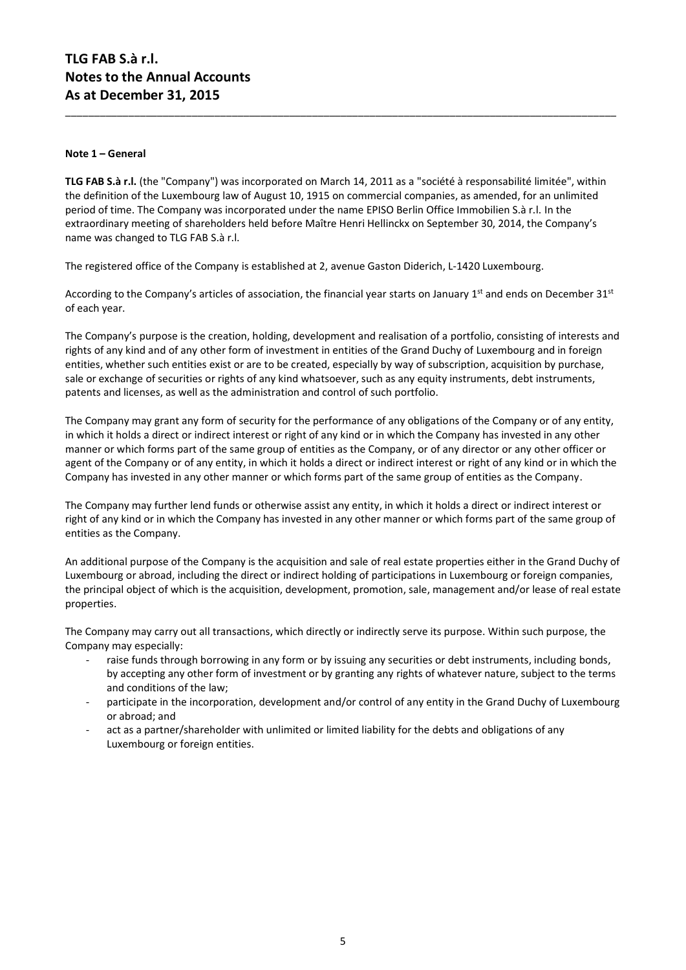#### **Note 1 – General**

**TLG FAB S.à r.l.** (the "Company") was incorporated on March 14, 2011 as a "société à responsabilité limitée", within the definition of the Luxembourg law of August 10, 1915 on commercial companies, as amended, for an unlimited period of time. The Company was incorporated under the name EPISO Berlin Office Immobilien S.à r.l. In the extraordinary meeting of shareholders held before Maître Henri Hellinckx on September 30, 2014, the Company's name was changed to TLG FAB S.à r.l.

\_\_\_\_\_\_\_\_\_\_\_\_\_\_\_\_\_\_\_\_\_\_\_\_\_\_\_\_\_\_\_\_\_\_\_\_\_\_\_\_\_\_\_\_\_\_\_\_\_\_\_\_\_\_\_\_\_\_\_\_\_\_\_\_\_\_\_\_\_\_\_\_\_\_\_\_\_\_\_\_\_\_\_\_\_\_\_\_\_\_\_\_\_\_\_\_

The registered office of the Company is established at 2, avenue Gaston Diderich, L-1420 Luxembourg.

According to the Company's articles of association, the financial year starts on January 1<sup>st</sup> and ends on December 31<sup>st</sup> of each year.

The Company's purpose is the creation, holding, development and realisation of a portfolio, consisting of interests and rights of any kind and of any other form of investment in entities of the Grand Duchy of Luxembourg and in foreign entities, whether such entities exist or are to be created, especially by way of subscription, acquisition by purchase, sale or exchange of securities or rights of any kind whatsoever, such as any equity instruments, debt instruments, patents and licenses, as well as the administration and control of such portfolio.

The Company may grant any form of security for the performance of any obligations of the Company or of any entity, in which it holds a direct or indirect interest or right of any kind or in which the Company has invested in any other manner or which forms part of the same group of entities as the Company, or of any director or any other officer or agent of the Company or of any entity, in which it holds a direct or indirect interest or right of any kind or in which the Company has invested in any other manner or which forms part of the same group of entities as the Company.

The Company may further lend funds or otherwise assist any entity, in which it holds a direct or indirect interest or right of any kind or in which the Company has invested in any other manner or which forms part of the same group of entities as the Company.

An additional purpose of the Company is the acquisition and sale of real estate properties either in the Grand Duchy of Luxembourg or abroad, including the direct or indirect holding of participations in Luxembourg or foreign companies, the principal object of which is the acquisition, development, promotion, sale, management and/or lease of real estate properties.

The Company may carry out all transactions, which directly or indirectly serve its purpose. Within such purpose, the Company may especially:

- raise funds through borrowing in any form or by issuing any securities or debt instruments, including bonds, by accepting any other form of investment or by granting any rights of whatever nature, subject to the terms and conditions of the law;
- participate in the incorporation, development and/or control of any entity in the Grand Duchy of Luxembourg or abroad; and
- act as a partner/shareholder with unlimited or limited liability for the debts and obligations of any Luxembourg or foreign entities.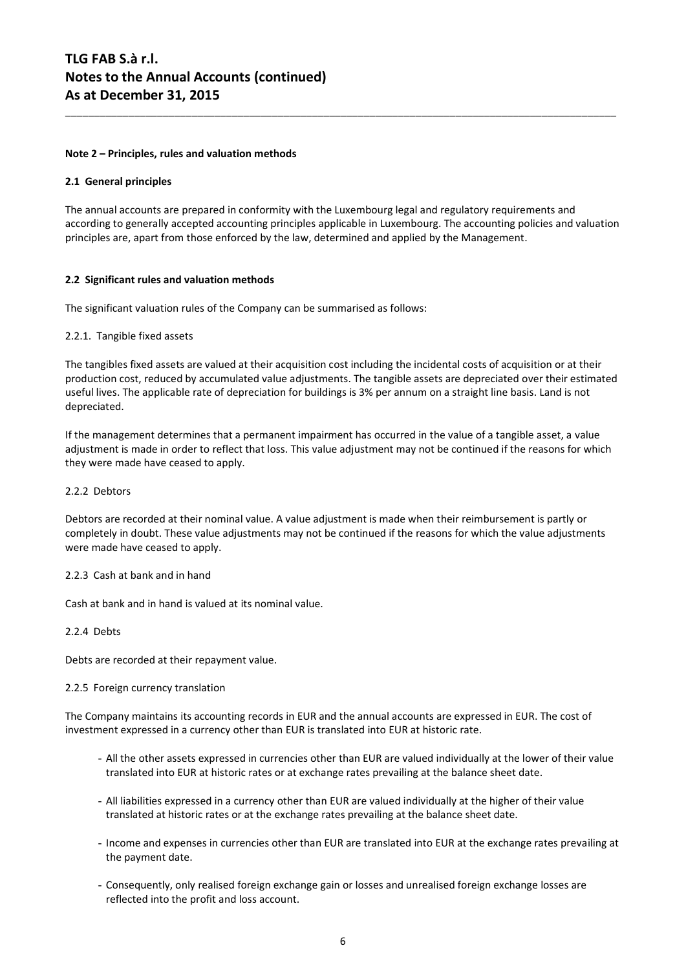#### **Note 2 – Principles, rules and valuation methods**

#### **2.1 General principles**

The annual accounts are prepared in conformity with the Luxembourg legal and regulatory requirements and according to generally accepted accounting principles applicable in Luxembourg. The accounting policies and valuation principles are, apart from those enforced by the law, determined and applied by the Management.

\_\_\_\_\_\_\_\_\_\_\_\_\_\_\_\_\_\_\_\_\_\_\_\_\_\_\_\_\_\_\_\_\_\_\_\_\_\_\_\_\_\_\_\_\_\_\_\_\_\_\_\_\_\_\_\_\_\_\_\_\_\_\_\_\_\_\_\_\_\_\_\_\_\_\_\_\_\_\_\_\_\_\_\_\_\_\_\_\_\_\_\_\_\_\_\_

#### **2.2 Significant rules and valuation methods**

The significant valuation rules of the Company can be summarised as follows:

#### 2.2.1. Tangible fixed assets

The tangibles fixed assets are valued at their acquisition cost including the incidental costs of acquisition or at their production cost, reduced by accumulated value adjustments. The tangible assets are depreciated over their estimated useful lives. The applicable rate of depreciation for buildings is 3% per annum on a straight line basis. Land is not depreciated.

If the management determines that a permanent impairment has occurred in the value of a tangible asset, a value adjustment is made in order to reflect that loss. This value adjustment may not be continued if the reasons for which they were made have ceased to apply.

#### 2.2.2 Debtors

Debtors are recorded at their nominal value. A value adjustment is made when their reimbursement is partly or completely in doubt. These value adjustments may not be continued if the reasons for which the value adjustments were made have ceased to apply.

#### 2.2.3 Cash at bank and in hand

Cash at bank and in hand is valued at its nominal value.

#### 2.2.4 Debts

Debts are recorded at their repayment value.

#### 2.2.5 Foreign currency translation

The Company maintains its accounting records in EUR and the annual accounts are expressed in EUR. The cost of investment expressed in a currency other than EUR is translated into EUR at historic rate.

- All the other assets expressed in currencies other than EUR are valued individually at the lower of their value translated into EUR at historic rates or at exchange rates prevailing at the balance sheet date.
- All liabilities expressed in a currency other than EUR are valued individually at the higher of their value translated at historic rates or at the exchange rates prevailing at the balance sheet date.
- Income and expenses in currencies other than EUR are translated into EUR at the exchange rates prevailing at the payment date.
- Consequently, only realised foreign exchange gain or losses and unrealised foreign exchange losses are reflected into the profit and loss account.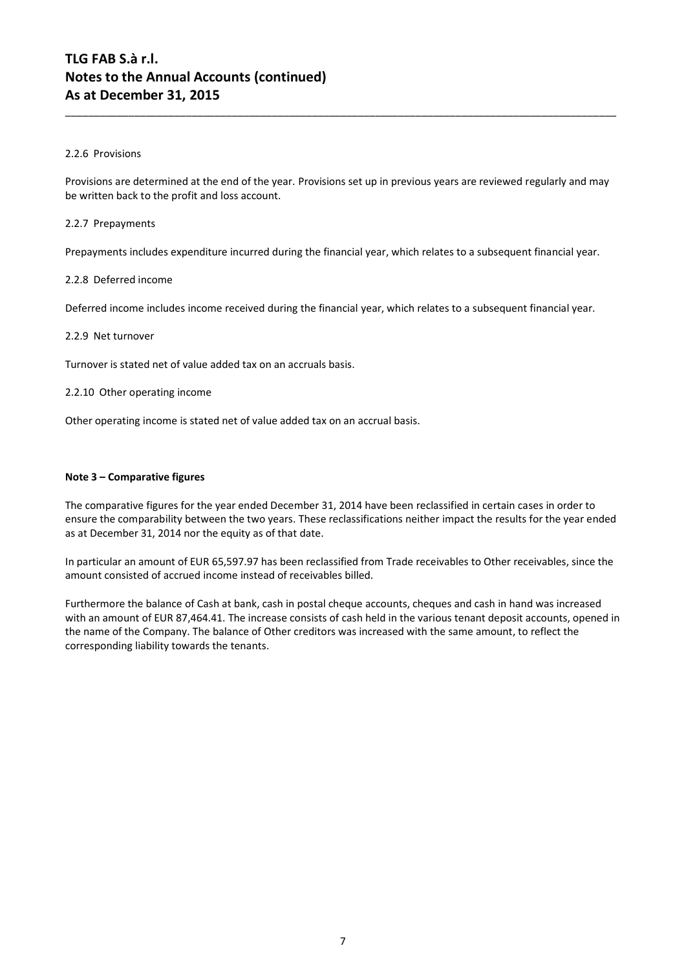#### 2.2.6 Provisions

Provisions are determined at the end of the year. Provisions set up in previous years are reviewed regularly and may be written back to the profit and loss account.

\_\_\_\_\_\_\_\_\_\_\_\_\_\_\_\_\_\_\_\_\_\_\_\_\_\_\_\_\_\_\_\_\_\_\_\_\_\_\_\_\_\_\_\_\_\_\_\_\_\_\_\_\_\_\_\_\_\_\_\_\_\_\_\_\_\_\_\_\_\_\_\_\_\_\_\_\_\_\_\_\_\_\_\_\_\_\_\_\_\_\_\_\_\_\_\_

#### 2.2.7 Prepayments

Prepayments includes expenditure incurred during the financial year, which relates to a subsequent financial year.

#### 2.2.8 Deferred income

Deferred income includes income received during the financial year, which relates to a subsequent financial year.

#### 2.2.9 Net turnover

Turnover is stated net of value added tax on an accruals basis.

#### 2.2.10 Other operating income

Other operating income is stated net of value added tax on an accrual basis.

#### **Note 3 – Comparative figures**

The comparative figures for the year ended December 31, 2014 have been reclassified in certain cases in order to ensure the comparability between the two years. These reclassifications neither impact the results for the year ended as at December 31, 2014 nor the equity as of that date.

In particular an amount of EUR 65,597.97 has been reclassified from Trade receivables to Other receivables, since the amount consisted of accrued income instead of receivables billed.

Furthermore the balance of Cash at bank, cash in postal cheque accounts, cheques and cash in hand was increased with an amount of EUR 87,464.41. The increase consists of cash held in the various tenant deposit accounts, opened in the name of the Company. The balance of Other creditors was increased with the same amount, to reflect the corresponding liability towards the tenants.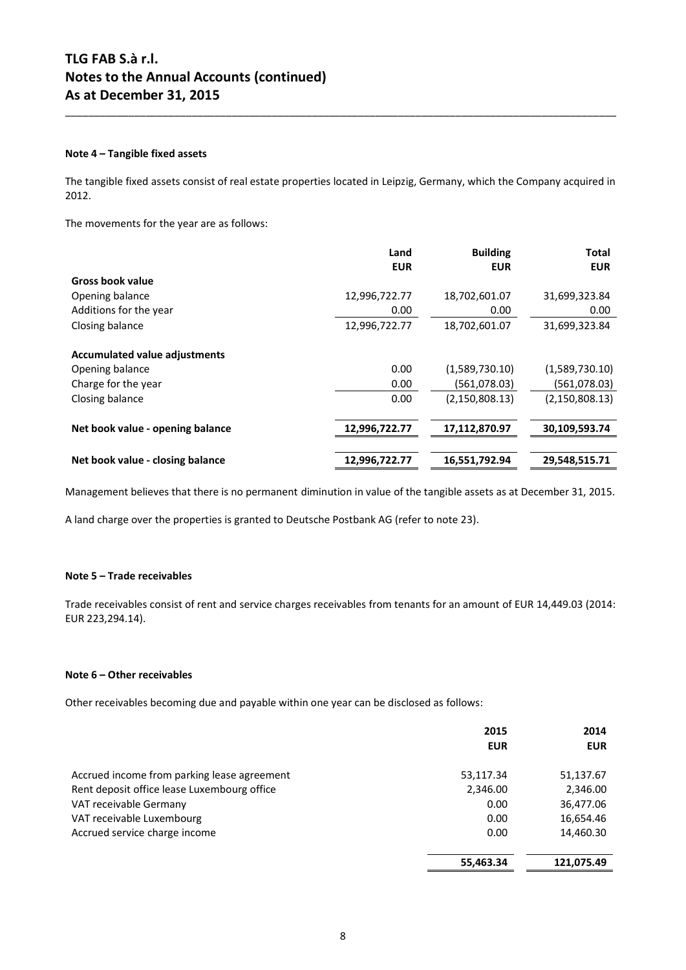#### **Note 4 – Tangible fixed assets**

The tangible fixed assets consist of real estate properties located in Leipzig, Germany, which the Company acquired in 2012.

\_\_\_\_\_\_\_\_\_\_\_\_\_\_\_\_\_\_\_\_\_\_\_\_\_\_\_\_\_\_\_\_\_\_\_\_\_\_\_\_\_\_\_\_\_\_\_\_\_\_\_\_\_\_\_\_\_\_\_\_\_\_\_\_\_\_\_\_\_\_\_\_\_\_\_\_\_\_\_\_\_\_\_\_\_\_\_\_\_\_\_\_\_\_\_\_

The movements for the year are as follows:

|                                      | Land<br><b>EUR</b> | <b>Building</b><br><b>EUR</b> | <b>Total</b><br><b>EUR</b> |
|--------------------------------------|--------------------|-------------------------------|----------------------------|
| <b>Gross book value</b>              |                    |                               |                            |
| Opening balance                      | 12,996,722.77      | 18,702,601.07                 | 31,699,323.84              |
| Additions for the year               | 0.00               | 0.00                          | 0.00                       |
| Closing balance                      | 12,996,722.77      | 18,702,601.07                 | 31,699,323.84              |
| <b>Accumulated value adjustments</b> |                    |                               |                            |
| Opening balance                      | 0.00               | (1,589,730.10)                | (1,589,730.10)             |
| Charge for the year                  | 0.00               | (561,078.03)                  | (561,078.03)               |
| Closing balance                      | 0.00               | (2, 150, 808.13)              | (2, 150, 808.13)           |
| Net book value - opening balance     | 12,996,722.77      | 17,112,870.97                 | 30,109,593.74              |
|                                      |                    |                               |                            |
| Net book value - closing balance     | 12,996,722.77      | 16,551,792.94                 | 29,548,515.71              |

Management believes that there is no permanent diminution in value of the tangible assets as at December 31, 2015.

A land charge over the properties is granted to Deutsche Postbank AG (refer to note 23).

#### **Note 5 – Trade receivables**

Trade receivables consist of rent and service charges receivables from tenants for an amount of EUR 14,449.03 (2014: EUR 223,294.14).

#### **Note 6 – Other receivables**

Other receivables becoming due and payable within one year can be disclosed as follows:

|                                             | 2015<br><b>EUR</b> | 2014<br><b>EUR</b> |
|---------------------------------------------|--------------------|--------------------|
| Accrued income from parking lease agreement | 53,117.34          | 51,137.67          |
| Rent deposit office lease Luxembourg office | 2,346.00           | 2,346.00           |
| VAT receivable Germany                      | 0.00               | 36,477.06          |
| VAT receivable Luxembourg                   | 0.00               | 16,654.46          |
| Accrued service charge income               | 0.00               | 14,460.30          |
|                                             | 55,463.34          | 121,075.49         |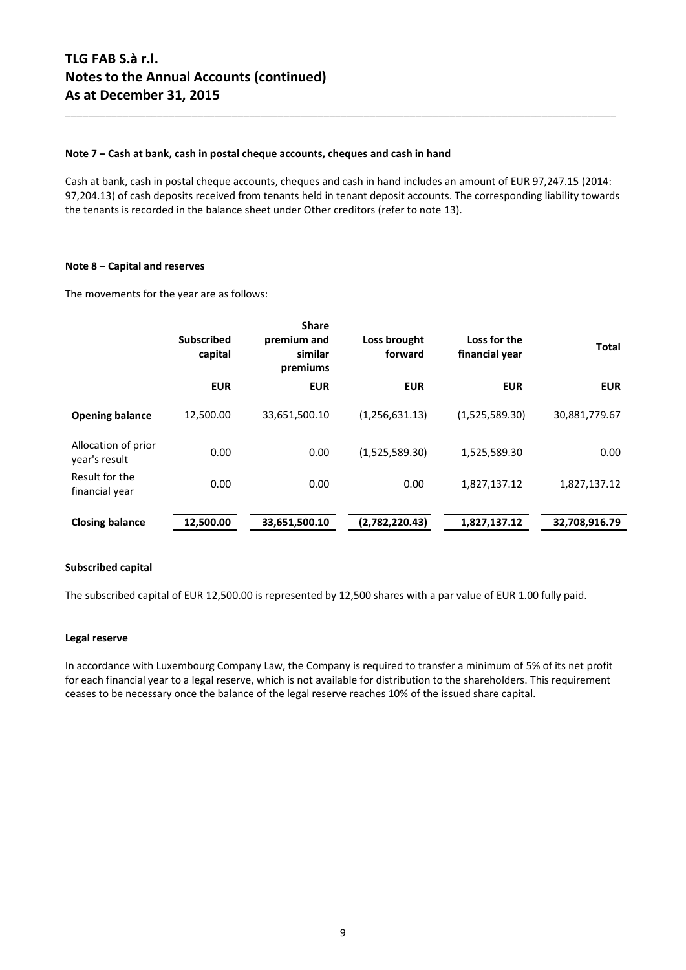#### **Note 7 – Cash at bank, cash in postal cheque accounts, cheques and cash in hand**

Cash at bank, cash in postal cheque accounts, cheques and cash in hand includes an amount of EUR 97,247.15 (2014: 97,204.13) of cash deposits received from tenants held in tenant deposit accounts. The corresponding liability towards the tenants is recorded in the balance sheet under Other creditors (refer to note 13).

\_\_\_\_\_\_\_\_\_\_\_\_\_\_\_\_\_\_\_\_\_\_\_\_\_\_\_\_\_\_\_\_\_\_\_\_\_\_\_\_\_\_\_\_\_\_\_\_\_\_\_\_\_\_\_\_\_\_\_\_\_\_\_\_\_\_\_\_\_\_\_\_\_\_\_\_\_\_\_\_\_\_\_\_\_\_\_\_\_\_\_\_\_\_\_\_

#### **Note 8 – Capital and reserves**

The movements for the year are as follows:

|                                      | <b>Subscribed</b><br>capital | <b>Share</b><br>premium and<br>similar<br>premiums | Loss brought<br>forward | Loss for the<br>financial year | <b>Total</b>  |
|--------------------------------------|------------------------------|----------------------------------------------------|-------------------------|--------------------------------|---------------|
|                                      | <b>EUR</b>                   | <b>EUR</b>                                         | <b>EUR</b>              | <b>EUR</b>                     | <b>EUR</b>    |
| <b>Opening balance</b>               | 12,500.00                    | 33,651,500.10                                      | (1,256,631.13)          | (1,525,589.30)                 | 30,881,779.67 |
| Allocation of prior<br>year's result | 0.00                         | 0.00                                               | (1,525,589.30)          | 1,525,589.30                   | 0.00          |
| Result for the<br>financial year     | 0.00                         | 0.00                                               | 0.00                    | 1,827,137.12                   | 1,827,137.12  |
| <b>Closing balance</b>               | 12,500.00                    | 33,651,500.10                                      | (2,782,220.43)          | 1,827,137.12                   | 32,708,916.79 |

#### **Subscribed capital**

The subscribed capital of EUR 12,500.00 is represented by 12,500 shares with a par value of EUR 1.00 fully paid.

#### **Legal reserve**

In accordance with Luxembourg Company Law, the Company is required to transfer a minimum of 5% of its net profit for each financial year to a legal reserve, which is not available for distribution to the shareholders. This requirement ceases to be necessary once the balance of the legal reserve reaches 10% of the issued share capital.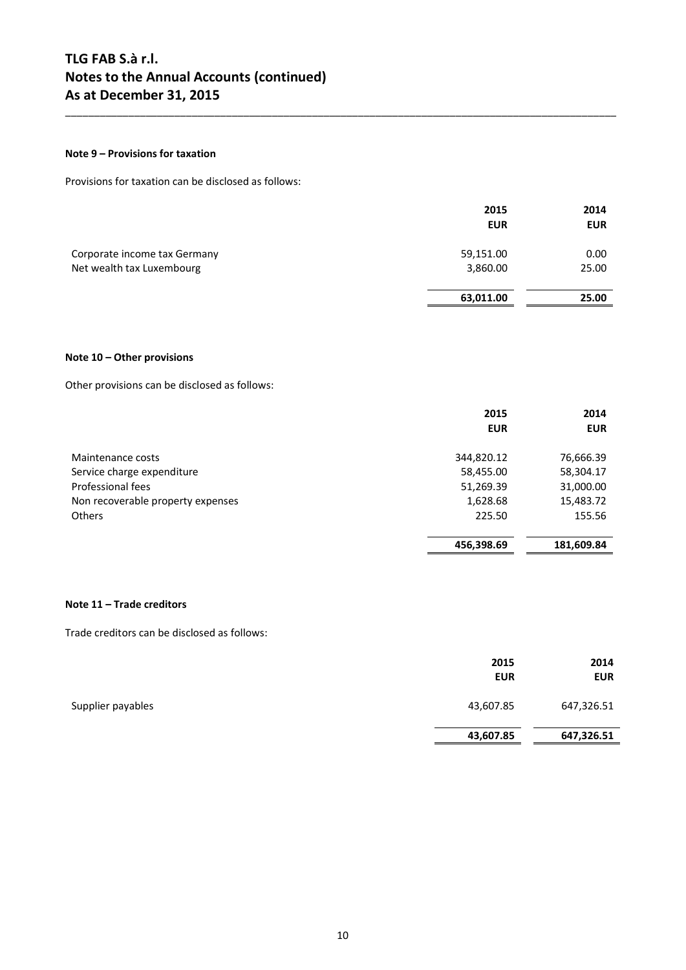#### **Note 9 – Provisions for taxation**

Provisions for taxation can be disclosed as follows:

|                                                           | 2015<br><b>EUR</b>    | 2014<br><b>EUR</b> |
|-----------------------------------------------------------|-----------------------|--------------------|
| Corporate income tax Germany<br>Net wealth tax Luxembourg | 59,151.00<br>3,860.00 | 0.00<br>25.00      |
|                                                           | 63,011.00             | 25.00              |

\_\_\_\_\_\_\_\_\_\_\_\_\_\_\_\_\_\_\_\_\_\_\_\_\_\_\_\_\_\_\_\_\_\_\_\_\_\_\_\_\_\_\_\_\_\_\_\_\_\_\_\_\_\_\_\_\_\_\_\_\_\_\_\_\_\_\_\_\_\_\_\_\_\_\_\_\_\_\_\_\_\_\_\_\_\_\_\_\_\_\_\_\_\_\_\_

#### **Note 10 – Other provisions**

Other provisions can be disclosed as follows:

|                                   | 2015       | 2014       |
|-----------------------------------|------------|------------|
|                                   | <b>EUR</b> | <b>EUR</b> |
| Maintenance costs                 | 344,820.12 | 76,666.39  |
| Service charge expenditure        | 58,455.00  | 58,304.17  |
| Professional fees                 | 51,269.39  | 31,000.00  |
| Non recoverable property expenses | 1,628.68   | 15,483.72  |
| <b>Others</b>                     | 225.50     | 155.56     |
|                                   | 456,398.69 | 181,609.84 |

#### **Note 11 – Trade creditors**

Trade creditors can be disclosed as follows:

|                   | 2015<br><b>EUR</b> | 2014<br>EUR |
|-------------------|--------------------|-------------|
| Supplier payables | 43,607.85          | 647,326.51  |
|                   | 43,607.85          | 647,326.51  |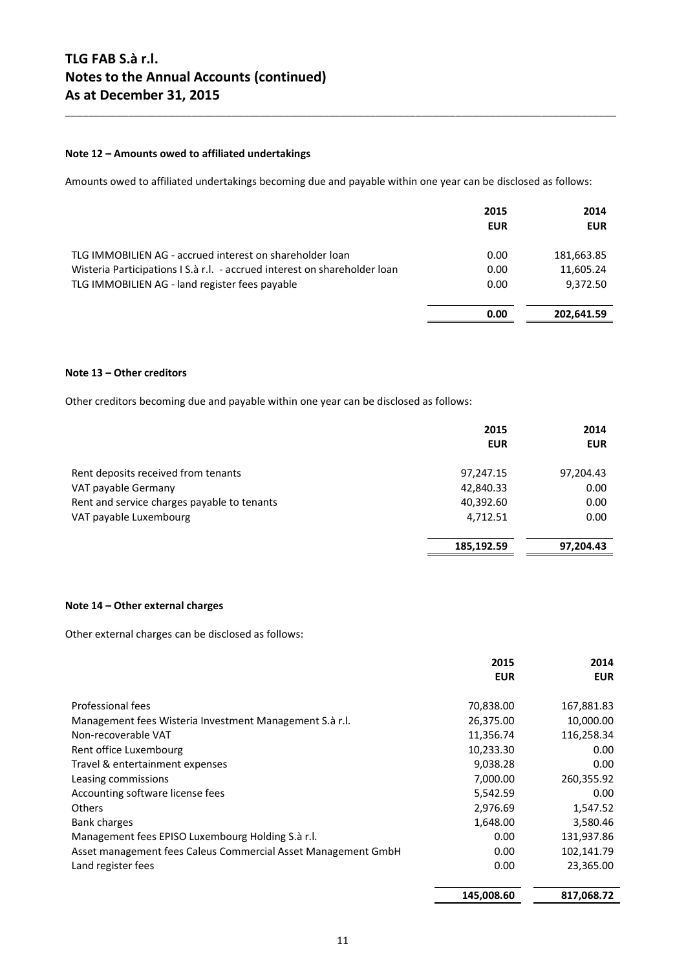#### **Note 12 – Amounts owed to affiliated undertakings**

Amounts owed to affiliated undertakings becoming due and payable within one year can be disclosed as follows:

\_\_\_\_\_\_\_\_\_\_\_\_\_\_\_\_\_\_\_\_\_\_\_\_\_\_\_\_\_\_\_\_\_\_\_\_\_\_\_\_\_\_\_\_\_\_\_\_\_\_\_\_\_\_\_\_\_\_\_\_\_\_\_\_\_\_\_\_\_\_\_\_\_\_\_\_\_\_\_\_\_\_\_\_\_\_\_\_\_\_\_\_\_\_\_\_

|                                                                           | 2015<br><b>EUR</b> | 2014<br><b>EUR</b> |
|---------------------------------------------------------------------------|--------------------|--------------------|
| TLG IMMOBILIEN AG - accrued interest on shareholder loan                  | 0.00               | 181,663.85         |
| Wisteria Participations I S.à r.l. - accrued interest on shareholder loan | 0.00               | 11,605.24          |
| TLG IMMOBILIEN AG - land register fees payable                            | 0.00               | 9,372.50           |
|                                                                           | 0.00               | 202.641.59         |

#### **Note 13 – Other creditors**

Other creditors becoming due and payable within one year can be disclosed as follows:

|                                             | 2015<br><b>EUR</b> | 2014<br><b>EUR</b> |
|---------------------------------------------|--------------------|--------------------|
| Rent deposits received from tenants         | 97,247.15          | 97,204.43          |
| VAT payable Germany                         | 42,840.33          | 0.00               |
| Rent and service charges payable to tenants | 40,392.60          | 0.00               |
| VAT payable Luxembourg                      | 4,712.51           | 0.00               |
|                                             | 185,192.59         | 97,204.43          |

#### **Note 14 – Other external charges**

Other external charges can be disclosed as follows:

|                                                               | 2015       | 2014       |
|---------------------------------------------------------------|------------|------------|
|                                                               | <b>EUR</b> | <b>EUR</b> |
| Professional fees                                             | 70,838.00  | 167,881.83 |
| Management fees Wisteria Investment Management S.à r.l.       | 26,375.00  | 10,000.00  |
| Non-recoverable VAT                                           | 11,356.74  | 116,258.34 |
| Rent office Luxembourg                                        | 10,233.30  | 0.00       |
| Travel & entertainment expenses                               | 9,038.28   | 0.00       |
| Leasing commissions                                           | 7,000.00   | 260,355.92 |
| Accounting software license fees                              | 5,542.59   | 0.00       |
| <b>Others</b>                                                 | 2,976.69   | 1,547.52   |
| <b>Bank charges</b>                                           | 1,648.00   | 3,580.46   |
| Management fees EPISO Luxembourg Holding S.a r.l.             | 0.00       | 131,937.86 |
| Asset management fees Caleus Commercial Asset Management GmbH | 0.00       | 102,141.79 |
| Land register fees                                            | 0.00       | 23,365.00  |
|                                                               | 145,008.60 | 817,068.72 |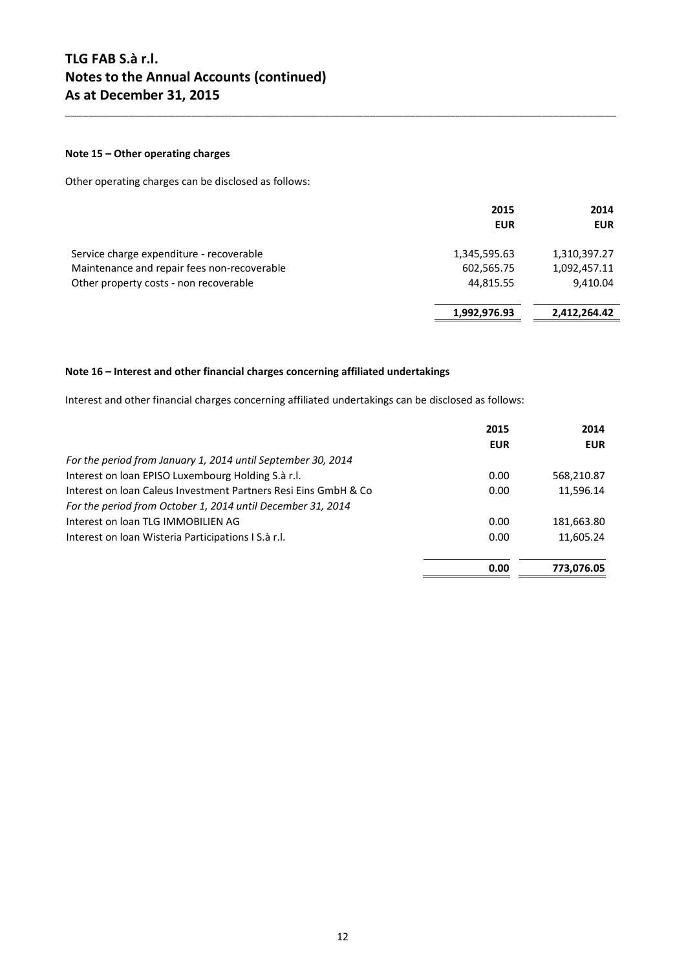#### **Note 15 – Other operating charges**

Other operating charges can be disclosed as follows:

|                                             | 2015<br><b>EUR</b> | 2014<br><b>EUR</b> |
|---------------------------------------------|--------------------|--------------------|
| Service charge expenditure - recoverable    | 1,345,595.63       | 1,310,397.27       |
| Maintenance and repair fees non-recoverable | 602,565.75         | 1,092,457.11       |
| Other property costs - non recoverable      | 44,815.55          | 9,410.04           |
|                                             | 1,992,976.93       | 2,412,264.42       |

\_\_\_\_\_\_\_\_\_\_\_\_\_\_\_\_\_\_\_\_\_\_\_\_\_\_\_\_\_\_\_\_\_\_\_\_\_\_\_\_\_\_\_\_\_\_\_\_\_\_\_\_\_\_\_\_\_\_\_\_\_\_\_\_\_\_\_\_\_\_\_\_\_\_\_\_\_\_\_\_\_\_\_\_\_\_\_\_\_\_\_\_\_\_\_\_

#### **Note 16 – Interest and other financial charges concerning affiliated undertakings**

Interest and other financial charges concerning affiliated undertakings can be disclosed as follows:

|                                                                 | 2015       | 2014       |
|-----------------------------------------------------------------|------------|------------|
|                                                                 | <b>EUR</b> | <b>EUR</b> |
| For the period from January 1, 2014 until September 30, 2014    |            |            |
| Interest on loan EPISO Luxembourg Holding S.à r.l.              | 0.00       | 568,210.87 |
| Interest on loan Caleus Investment Partners Resi Eins GmbH & Co | 0.00       | 11,596.14  |
| For the period from October 1, 2014 until December 31, 2014     |            |            |
| Interest on loan TLG IMMOBILIEN AG                              | 0.00       | 181,663.80 |
| Interest on Ioan Wisteria Participations I S.à r.l.             | 0.00       | 11,605.24  |
|                                                                 | 0.00       | 773,076.05 |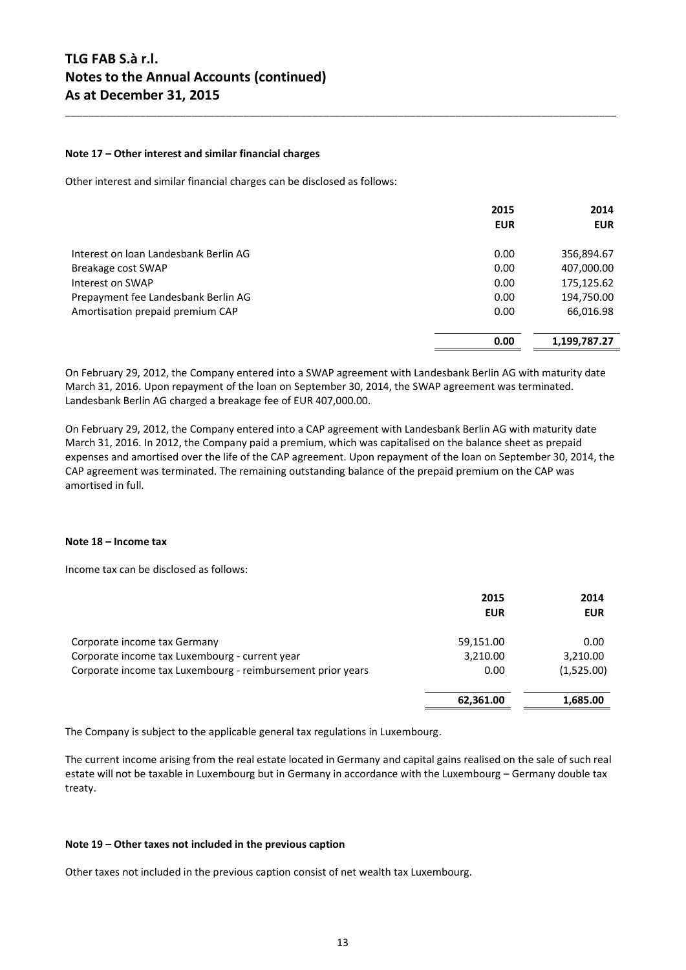#### **Note 17 – Other interest and similar financial charges**

Other interest and similar financial charges can be disclosed as follows:

|                                       | 2015<br><b>EUR</b> | 2014<br><b>EUR</b> |
|---------------------------------------|--------------------|--------------------|
| Interest on Joan Landesbank Berlin AG | 0.00               | 356,894.67         |
| Breakage cost SWAP                    | 0.00               | 407,000.00         |
| Interest on SWAP                      | 0.00               | 175,125.62         |
| Prepayment fee Landesbank Berlin AG   | 0.00               | 194,750.00         |
| Amortisation prepaid premium CAP      | 0.00               | 66,016.98          |
|                                       | 0.00               | 1,199,787.27       |

\_\_\_\_\_\_\_\_\_\_\_\_\_\_\_\_\_\_\_\_\_\_\_\_\_\_\_\_\_\_\_\_\_\_\_\_\_\_\_\_\_\_\_\_\_\_\_\_\_\_\_\_\_\_\_\_\_\_\_\_\_\_\_\_\_\_\_\_\_\_\_\_\_\_\_\_\_\_\_\_\_\_\_\_\_\_\_\_\_\_\_\_\_\_\_\_

On February 29, 2012, the Company entered into a SWAP agreement with Landesbank Berlin AG with maturity date March 31, 2016. Upon repayment of the loan on September 30, 2014, the SWAP agreement was terminated. Landesbank Berlin AG charged a breakage fee of EUR 407,000.00.

On February 29, 2012, the Company entered into a CAP agreement with Landesbank Berlin AG with maturity date March 31, 2016. In 2012, the Company paid a premium, which was capitalised on the balance sheet as prepaid expenses and amortised over the life of the CAP agreement. Upon repayment of the loan on September 30, 2014, the CAP agreement was terminated. The remaining outstanding balance of the prepaid premium on the CAP was amortised in full.

#### **Note 18 – Income tax**

Income tax can be disclosed as follows:

|                                                             | 2015<br><b>EUR</b> | 2014<br><b>EUR</b> |
|-------------------------------------------------------------|--------------------|--------------------|
| Corporate income tax Germany                                | 59,151.00          | 0.00               |
| Corporate income tax Luxembourg - current year              | 3,210.00           | 3,210.00           |
| Corporate income tax Luxembourg - reimbursement prior years | 0.00               | (1,525.00)         |
|                                                             | 62,361.00          | 1,685.00           |

The Company is subject to the applicable general tax regulations in Luxembourg.

The current income arising from the real estate located in Germany and capital gains realised on the sale of such real estate will not be taxable in Luxembourg but in Germany in accordance with the Luxembourg – Germany double tax treaty.

#### **Note 19 – Other taxes not included in the previous caption**

Other taxes not included in the previous caption consist of net wealth tax Luxembourg.